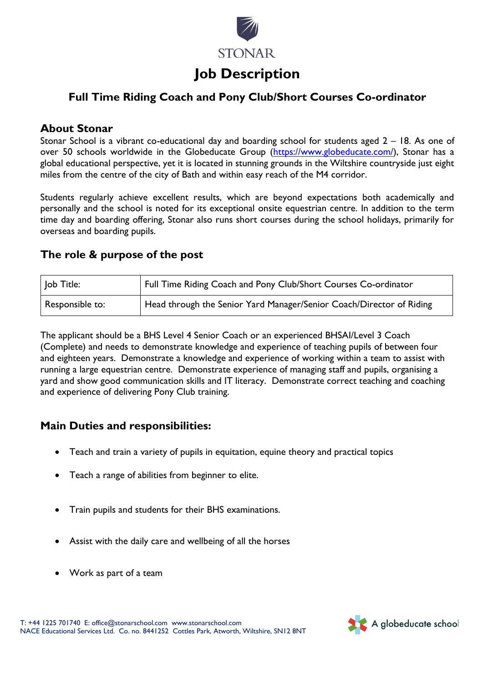

# **Job Description**

# **Full Time Riding Coach and Pony Club/Short Courses Co-ordinator**

### **About Stonar**

Stonar School is a vibrant co-educational day and boarding school for students aged 2 – 18. As one of over 50 schools worldwide in the Globeducate Group [\(https://www.globeducate.com/\)](https://www.globeducate.com/), Stonar has a global educational perspective, yet it is located in stunning grounds in the Wiltshire countryside just eight miles from the centre of the city of Bath and within easy reach of the M4 corridor.

Students regularly achieve excellent results, which are beyond expectations both academically and personally and the school is noted for its exceptional onsite equestrian centre. In addition to the term time day and boarding offering, Stonar also runs short courses during the school holidays, primarily for overseas and boarding pupils.

### **The role & purpose of the post**

| Job Title:      | Full Time Riding Coach and Pony Club/Short Courses Co-ordinator      |
|-----------------|----------------------------------------------------------------------|
| Responsible to: | Head through the Senior Yard Manager/Senior Coach/Director of Riding |

The applicant should be a BHS Level 4 Senior Coach or an experienced BHSAI/Level 3 Coach (Complete) and needs to demonstrate knowledge and experience of teaching pupils of between four and eighteen years. Demonstrate a knowledge and experience of working within a team to assist with running a large equestrian centre. Demonstrate experience of managing staff and pupils, organising a yard and show good communication skills and IT literacy. Demonstrate correct teaching and coaching and experience of delivering Pony Club training.

## **Main Duties and responsibilities:**

- Teach and train a variety of pupils in equitation, equine theory and practical topics
- Teach a range of abilities from beginner to elite.
- Train pupils and students for their BHS examinations.
- Assist with the daily care and wellbeing of all the horses
- Work as part of a team

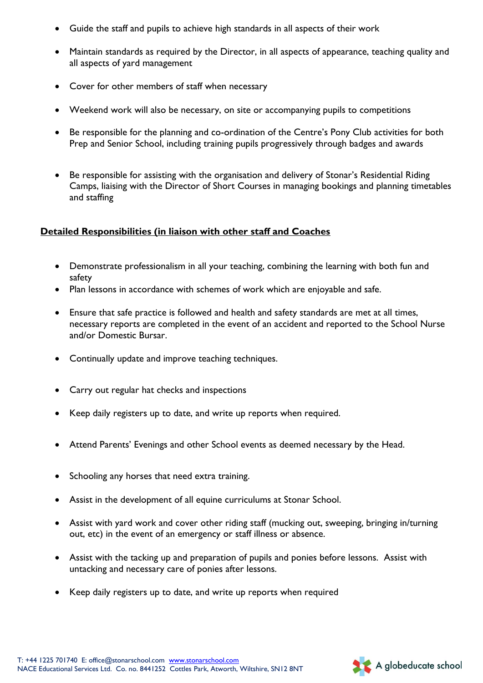- Guide the staff and pupils to achieve high standards in all aspects of their work
- Maintain standards as required by the Director, in all aspects of appearance, teaching quality and all aspects of yard management
- Cover for other members of staff when necessary
- Weekend work will also be necessary, on site or accompanying pupils to competitions
- Be responsible for the planning and co-ordination of the Centre's Pony Club activities for both Prep and Senior School, including training pupils progressively through badges and awards
- Be responsible for assisting with the organisation and delivery of Stonar's Residential Riding Camps, liaising with the Director of Short Courses in managing bookings and planning timetables and staffing

### **Detailed Responsibilities (in liaison with other staff and Coaches**

- Demonstrate professionalism in all your teaching, combining the learning with both fun and safety
- Plan lessons in accordance with schemes of work which are enjoyable and safe.
- Ensure that safe practice is followed and health and safety standards are met at all times, necessary reports are completed in the event of an accident and reported to the School Nurse and/or Domestic Bursar.
- Continually update and improve teaching techniques.
- Carry out regular hat checks and inspections
- Keep daily registers up to date, and write up reports when required.
- Attend Parents' Evenings and other School events as deemed necessary by the Head.
- Schooling any horses that need extra training.
- Assist in the development of all equine curriculums at Stonar School.
- Assist with yard work and cover other riding staff (mucking out, sweeping, bringing in/turning out, etc) in the event of an emergency or staff illness or absence.
- Assist with the tacking up and preparation of pupils and ponies before lessons. Assist with untacking and necessary care of ponies after lessons.
- Keep daily registers up to date, and write up reports when required